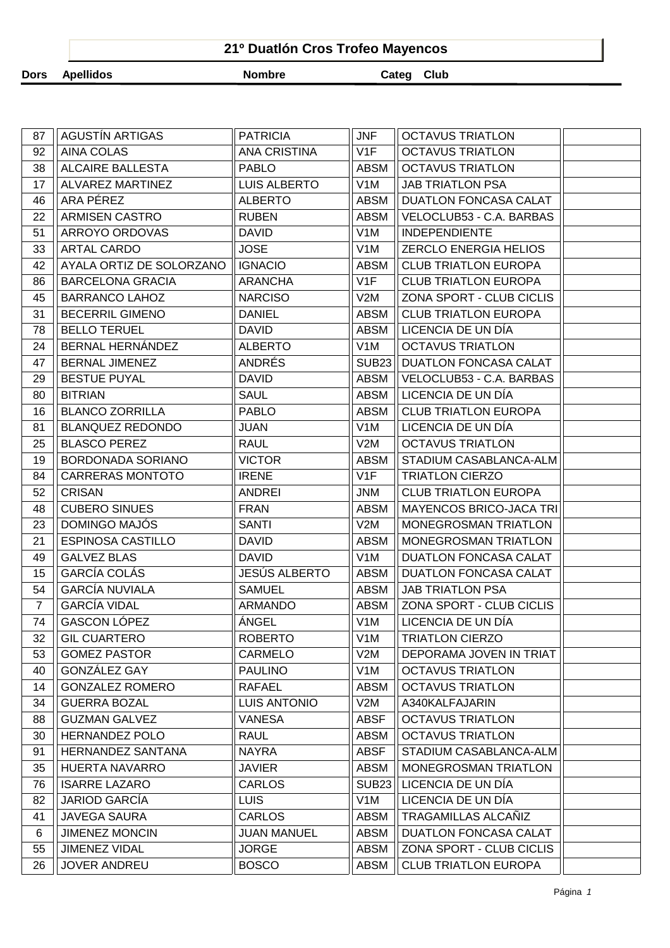|             | 21º Duatlón Cros Trofeo Mayencos |               |            |  |  |  |  |  |  |
|-------------|----------------------------------|---------------|------------|--|--|--|--|--|--|
| <b>Dors</b> | Apellidos                        | <b>Nombre</b> | Categ Club |  |  |  |  |  |  |

| 87             | <b>AGUSTÍN ARTIGAS</b>   | <b>PATRICIA</b>     | <b>JNF</b>       | <b>OCTAVUS TRIATLON</b>        |  |
|----------------|--------------------------|---------------------|------------------|--------------------------------|--|
| 92             | <b>AINA COLAS</b>        | <b>ANA CRISTINA</b> | V1F              | <b>OCTAVUS TRIATLON</b>        |  |
| 38             | <b>ALCAIRE BALLESTA</b>  | <b>PABLO</b>        | <b>ABSM</b>      | <b>OCTAVUS TRIATLON</b>        |  |
| 17             | ALVAREZ MARTINEZ         | <b>LUIS ALBERTO</b> | V <sub>1</sub> M | <b>JAB TRIATLON PSA</b>        |  |
| 46             | ARA PÉREZ                | <b>ALBERTO</b>      | <b>ABSM</b>      | DUATLON FONCASA CALAT          |  |
| 22             | ARMISEN CASTRO           | <b>RUBEN</b>        | <b>ABSM</b>      | VELOCLUB53 - C.A. BARBAS       |  |
| 51             | ARROYO ORDOVAS           | <b>DAVID</b>        | V1M              | <b>INDEPENDIENTE</b>           |  |
| 33             | <b>ARTAL CARDO</b>       | <b>JOSE</b>         | V <sub>1</sub> M | <b>ZERCLO ENERGIA HELIOS</b>   |  |
| 42             | AYALA ORTIZ DE SOLORZANO | <b>IGNACIO</b>      | <b>ABSM</b>      | <b>CLUB TRIATLON EUROPA</b>    |  |
| 86             | <b>BARCELONA GRACIA</b>  | <b>ARANCHA</b>      | V1F              | <b>CLUB TRIATLON EUROPA</b>    |  |
| 45             | <b>BARRANCO LAHOZ</b>    | <b>NARCISO</b>      | V2M              | ZONA SPORT - CLUB CICLIS       |  |
| 31             | <b>BECERRIL GIMENO</b>   | <b>DANIEL</b>       | <b>ABSM</b>      | <b>CLUB TRIATLON EUROPA</b>    |  |
| 78             | <b>BELLO TERUEL</b>      | <b>DAVID</b>        | <b>ABSM</b>      | LICENCIA DE UN DÍA             |  |
| 24             | BERNAL HERNÁNDEZ         | <b>ALBERTO</b>      | V <sub>1</sub> M | <b>OCTAVUS TRIATLON</b>        |  |
| 47             | <b>BERNAL JIMENEZ</b>    | <b>ANDRÉS</b>       | <b>SUB23</b>     | <b>DUATLON FONCASA CALAT</b>   |  |
| 29             | <b>BESTUE PUYAL</b>      | <b>DAVID</b>        | ABSM             | VELOCLUB53 - C.A. BARBAS       |  |
| 80             | <b>BITRIAN</b>           | <b>SAUL</b>         | <b>ABSM</b>      | LICENCIA DE UN DÍA             |  |
| 16             | <b>BLANCO ZORRILLA</b>   | <b>PABLO</b>        | <b>ABSM</b>      | <b>CLUB TRIATLON EUROPA</b>    |  |
| 81             | <b>BLANQUEZ REDONDO</b>  | <b>JUAN</b>         | V <sub>1</sub> M | LICENCIA DE UN DÍA             |  |
| 25             | <b>BLASCO PEREZ</b>      | <b>RAUL</b>         | V2M              | <b>OCTAVUS TRIATLON</b>        |  |
| 19             | BORDONADA SORIANO        | <b>VICTOR</b>       | <b>ABSM</b>      | STADIUM CASABLANCA-ALM         |  |
| 84             | <b>CARRERAS MONTOTO</b>  | <b>IRENE</b>        | V1F              | <b>TRIATLON CIERZO</b>         |  |
| 52             | <b>CRISAN</b>            | ANDREI              | <b>JNM</b>       | <b>CLUB TRIATLON EUROPA</b>    |  |
| 48             | <b>CUBERO SINUES</b>     | <b>FRAN</b>         | <b>ABSM</b>      | <b>MAYENCOS BRICO-JACA TRI</b> |  |
| 23             | DOMINGO MAJÓS            | <b>SANTI</b>        | V2M              | MONEGROSMAN TRIATLON           |  |
| 21             | <b>ESPINOSA CASTILLO</b> | <b>DAVID</b>        | <b>ABSM</b>      | MONEGROSMAN TRIATLON           |  |
| 49             | <b>GALVEZ BLAS</b>       | <b>DAVID</b>        | V <sub>1</sub> M | <b>DUATLON FONCASA CALAT</b>   |  |
| 15             | <b>GARCÍA COLÁS</b>      | JESÚS ALBERTO       | <b>ABSM</b>      | DUATLON FONCASA CALAT          |  |
| 54             | <b>GARCÍA NUVIALA</b>    | <b>SAMUEL</b>       | ABSM             | <b>JAB TRIATLON PSA</b>        |  |
| $\overline{7}$ | <b>GARCÍA VIDAL</b>      | ARMANDO             | ABSM             | ZONA SPORT - CLUB CICLIS       |  |
| 74             | GASCON LÓPEZ             | ÁNGEL               | V <sub>1</sub> M | LICENCIA DE UN DÍA             |  |
| 32             | <b>GIL CUARTERO</b>      | <b>ROBERTO</b>      | V <sub>1</sub> M | <b>TRIATLON CIERZO</b>         |  |
| 53             | <b>GOMEZ PASTOR</b>      | <b>CARMELO</b>      | V2M              | DEPORAMA JOVEN IN TRIAT        |  |
| 40             | GONZÁLEZ GAY             | <b>PAULINO</b>      | V <sub>1</sub> M | <b>OCTAVUS TRIATLON</b>        |  |
| 14             | <b>GONZALEZ ROMERO</b>   | <b>RAFAEL</b>       | <b>ABSM</b>      | <b>OCTAVUS TRIATLON</b>        |  |
| 34             | <b>GUERRA BOZAL</b>      | <b>LUIS ANTONIO</b> | V2M              | A340KALFAJARIN                 |  |
| 88             | <b>GUZMAN GALVEZ</b>     | <b>VANESA</b>       | <b>ABSF</b>      | <b>OCTAVUS TRIATLON</b>        |  |
| 30             | <b>HERNANDEZ POLO</b>    | <b>RAUL</b>         | <b>ABSM</b>      | <b>OCTAVUS TRIATLON</b>        |  |
| 91             | <b>HERNANDEZ SANTANA</b> | <b>NAYRA</b>        | <b>ABSF</b>      | STADIUM CASABLANCA-ALM         |  |
| 35             | <b>HUERTA NAVARRO</b>    | <b>JAVIER</b>       | <b>ABSM</b>      | MONEGROSMAN TRIATLON           |  |
| 76             | <b>ISARRE LAZARO</b>     | <b>CARLOS</b>       | <b>SUB23</b>     | LICENCIA DE UN DÍA             |  |
| 82             | <b>JARIOD GARCÍA</b>     | <b>LUIS</b>         | V <sub>1</sub> M | LICENCIA DE UN DÍA             |  |
| 41             | <b>JAVEGA SAURA</b>      | <b>CARLOS</b>       | <b>ABSM</b>      | TRAGAMILLAS ALCAÑIZ            |  |
| 6              | <b>JIMENEZ MONCIN</b>    | <b>JUAN MANUEL</b>  | <b>ABSM</b>      | DUATLON FONCASA CALAT          |  |
| 55             | <b>JIMENEZ VIDAL</b>     | <b>JORGE</b>        | <b>ABSM</b>      | ZONA SPORT - CLUB CICLIS       |  |
| 26             | <b>JOVER ANDREU</b>      | <b>BOSCO</b>        | <b>ABSM</b>      | <b>CLUB TRIATLON EUROPA</b>    |  |
|                |                          |                     |                  |                                |  |